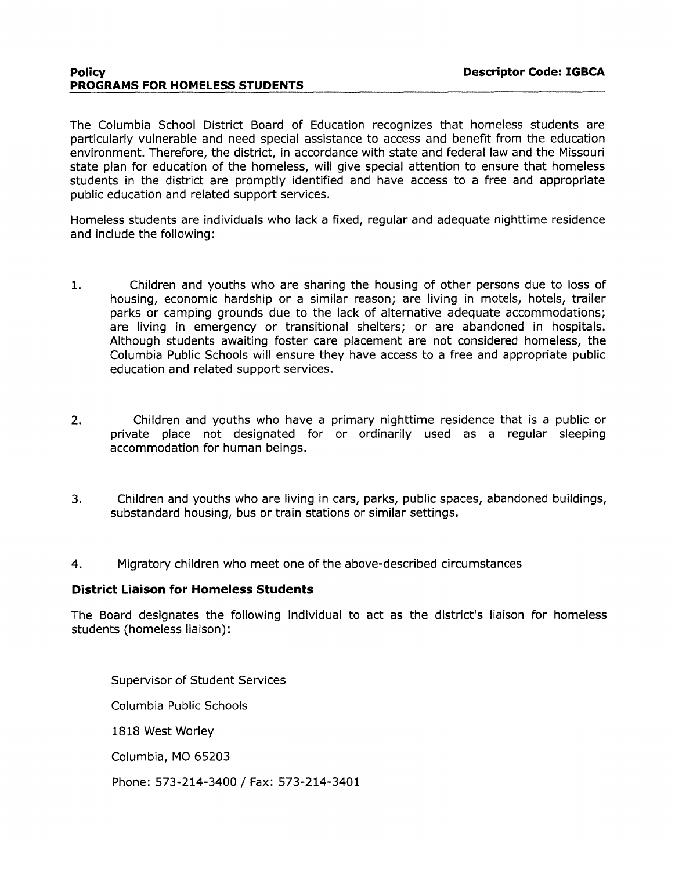The Columbia School District Board of Education recognizes that homeless students are particularly vulnerable and need special assistance to access and benefit from the education environment. Therefore, the district, in accordance with state and federal law and the Missouri state plan for education of the homeless, will give special attention to ensure that homeless students in the district are promptly identified and have access to a free and appropriate public education and related support services.

Homeless students are individuals who lack a fixed, regular and adequate nighttime residence and include the following:

- 1. Children and youths who are sharing the housing of other persons due to loss of housing, economic hardship or a similar reason; are living in motels, hotels, trailer parks or camping grounds due to the lack of alternative adequate accommodations; are living in emergency or transitional shelters; or are abandoned in hospitals. Although students awaiting foster care placement are not considered homeless, the Columbia Public Schools will ensure they have access to a free and appropriate public education and related support services.
- 2. Children and youths who have a primary nighttime residence that is a public or private place not designated for or ordinarily used as a regular sleeping accommodation for human beings.
- 3. Children and youths who are living in cars, parks, public spaces, abandoned buildings, substandard housing, bus or train stations or similar settings.
- 4. Migratory children who meet one of the above-described circumstances

#### **District Liaison for Homeless Students**

The Board designates the following individual to act as the district's liaison for homeless students (homeless liaison):

Supervisor of Student Services Columbia Public Schools 1818 West Worley Columbia, MO 65203 Phone: 573-214-3400 / Fax: 573-214-3401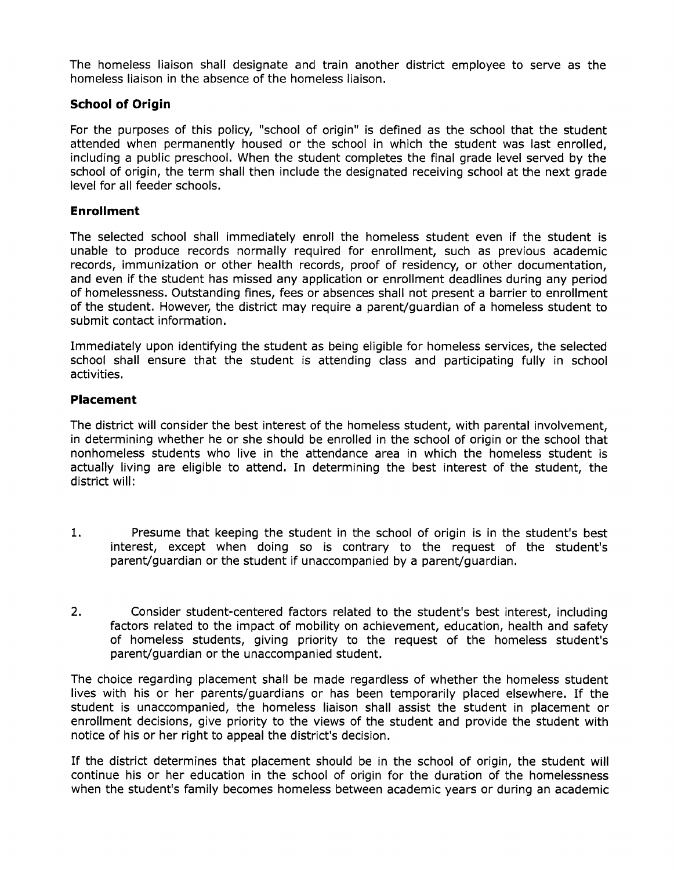The homeless liaison shall designate and train another district employee to serve as the homeless liaison in the absence of the homeless liaison.

# **School of Origin**

For the purposes of this policy, "school of origin" is defined as the school that the student attended when permanently housed or the school in which the student was last enrolled, including a public preschool. When the student completes the final grade level served by the school of origin, the term shall then include the designated receiving school at the next grade level for all feeder schools.

## **Enrollment**

The selected school shall immediately enroll the homeless student even if the student is unable to produce records normally required for enrollment, such as previous academic records, immunization or other health records, proof of residency, or other documentation, and even if the student has missed any application or enrollment deadlines during any period of homelessness. Outstanding fines, fees or absences shall not present a barrier to enrollment of the student. However, the district may require a parent/guardian of a homeless student to submit contact information.

Immediately upon identifying the student as being eligible for homeless services, the selected school shall ensure that the student is attending class and participating fully in school activities.

## **Placement**

The district will consider the best interest of the homeless student, with parental involvement, in determining whether he or she should be enrolled in the school of origin or the school that nonhomeless students who live in the attendance area in which the homeless student is actually living are eligible to attend. In determining the best interest of the student, the district will:

- 1. Presume that keeping the student in the school of origin is in the student's best interest, except when doing so is contrary to the request of the student's parent/guardian or the student if unaccompanied by a parent/guardian.
- 2. Consider student-centered factors related to the student's best interest, including factors related to the impact of mobility on achievement, education, health and safety of homeless students, giving priority to the request of the homeless student's parent/guardian or the unaccompanied student.

The choice regarding placement shall be made regardless of whether the homeless student lives with his or her parents/guardians or has been temporarily placed elsewhere. If the student is unaccompanied, the homeless liaison shall assist the student in placement or enrollment decisions, give priority to the views of the student and provide the student with notice of his or her right to appeal the district's decision.

If the district determines that placement should be in the school of origin, the student will continue his or her education in the school of origin for the duration of the homelessness when the student's family becomes homeless between academic years or during an academic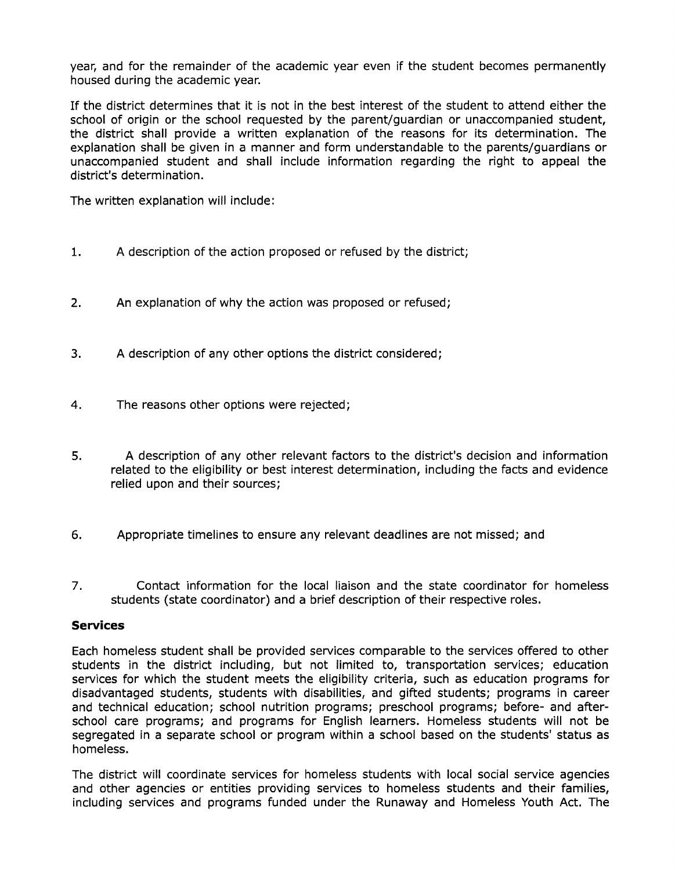year, and for the remainder of the academic year even if the student becomes permanently housed during the academic year.

If the district determines that it is not in the best interest of the student to attend either the school of origin or the school requested by the parent/guardian or unaccompanied student, the district shall provide a written explanation of the reasons for its determination. The explanation shall be given in a manner and form understandable to the parents/guardians or unaccompanied student and shall include information regarding the right to appeal the district's determination.

The written explanation will include:

- 1. A description of the action proposed or refused by the district;
- 2. An explanation of why the action was proposed or refused;
- 3. A description of any other options the district considered;
- 4. The reasons other options were rejected;
- 5. A description of any other relevant factors to the district's decision and information related to the eligibility or best interest determination, including the facts and evidence relied upon and their sources;
- 6. Appropriate timelines to ensure any relevant deadlines are not missed; and
- 7. Contact information for the local liaison and the state coordinator for homeless students (state coordinator) and a brief description of their respective roles.

#### **Services**

Each homeless student shall be provided services comparable to the services offered to other students in the district including, but not limited to, transportation services; education services for which the student meets the eligibility criteria, such as education programs for disadvantaged students, students with disabilities, and gifted students; programs in career and technical education; school nutrition programs; preschool programs; before- and afterschool care programs; and programs for English learners. Homeless students will not be segregated in a separate school or program within a school based on the students' status as homeless.

The district will coordinate services for homeless students with local social service agencies and other agencies or entities providing services to homeless students and their families, including services and programs funded under the Runaway and Homeless Youth Act. The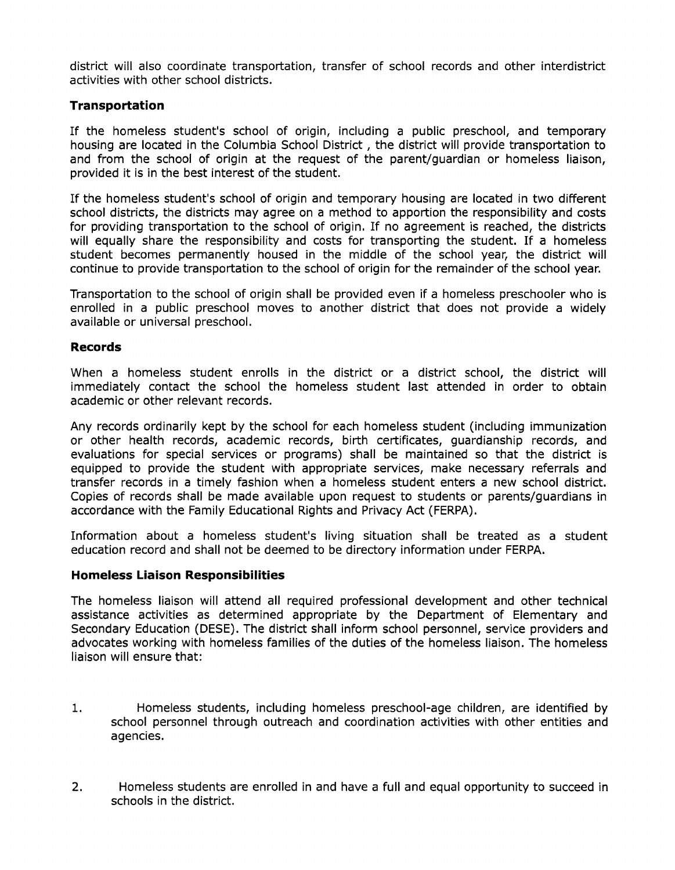district will also coordinate transportation, transfer of school records and other interdistrict activities with other school districts.

# **Transportation**

If the homeless student's school of origin, including a public preschool, and temporary housing are located in the Columbia School District , the district will provide transportation to and from the school of origin at the request of the parent/guardian or homeless liaison, provided it is in the best interest of the student.

If the homeless student's school of origin and temporary housing are located in two different school districts, the districts may agree on a method to apportion the responsibility and costs for providing transportation to the school of origin. If no agreement is reached, the districts will equally share the responsibility and costs for transporting the student. If a homeless student becomes permanently housed in the middle of the school year, the district will continue to provide transportation to the school of origin for the remainder of the school year.

Transportation to the school of origin shall be provided even if a homeless preschooler who is enrolled in a public preschool moves to another district that does not provide a widely available or universal preschool.

## **Records**

When a homeless student enrolls in the district or a district school, the district will immediately contact the school the homeless student last attended in order to obtain academic or other relevant records.

Any records ordinarily kept by the school for each homeless student (including immunization or other health records, academic records, birth certificates, guardianship records, and evaluations for special services or programs) shall be maintained so that the district is equipped to provide the student with appropriate services, make necessary referrals and transfer records in a timely fashion when a homeless student enters a new school district. Copies of records shall be made available upon request to students or parents/guardians in accordance with the Family Educational Rights and Privacy Act (FERPA).

Information about a homeless student's living situation shall be treated as a student education record and shall not be deemed to be directory information under FERPA.

# **Homeless Liaison Responsibilities**

The homeless liaison will attend all required professional development and other technical assistance activities as determined appropriate by the Department of Elementary and Secondary Education (DESE). The district shall inform school personnel, service providers and advocates working with homeless families of the duties of the homeless liaison. The homeless liaison will ensure that:

- 1. Homeless students, including homeless preschool-age children, are identified by school personnel through outreach and coordination activities with other entities and agencies.
- 2. Homeless students are enrolled in and have a full and equal opportunity to succeed in schools in the district.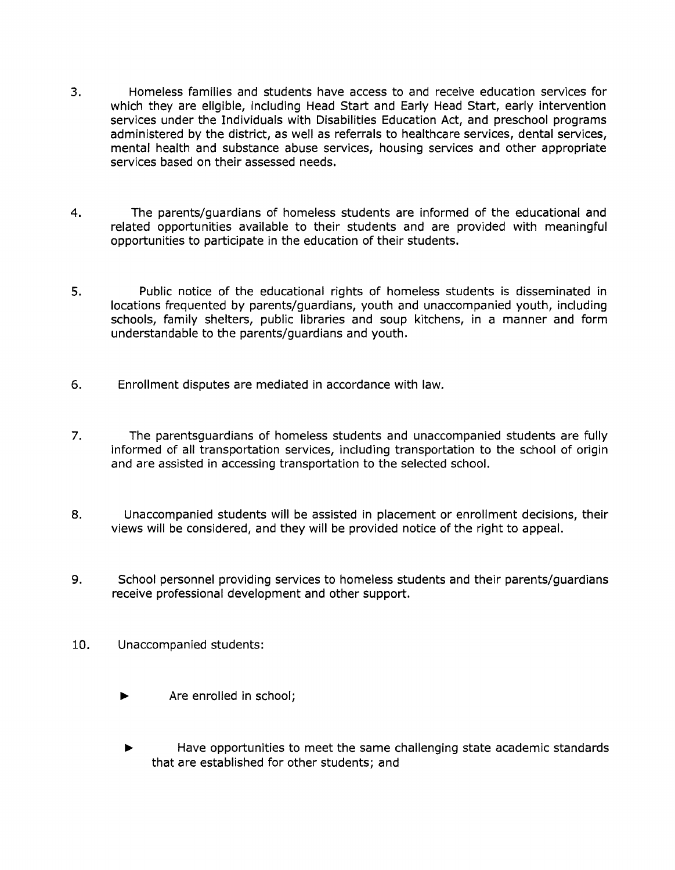- 3. Homeless families and students have access to and receive education services for which they are eligible, including Head Start and Early Head Start, early intervention services under the Individuals with Disabilities Education Act, and preschool programs administered by the district, as well as referrals to healthcare services, dental services, mental health and substance abuse services, housing services and other appropriate services based on their assessed needs.
- 4. The parents/guardians of homeless students are informed of the educational and related opportunities available to their students and are provided with meaningful opportunities to participate in the education of their students.
- 5. Public notice of the educational rights of homeless students is disseminated in locations frequented by parents/guardians, youth and unaccompanied youth, including schools, family shelters, public libraries and soup kitchens, in a manner and form understandable to the parents/guardians and youth.
- 6. Enrollment disputes are mediated in accordance with law.
- 7. The parentsguardians of homeless students and unaccompanied students are fully informed of all transportation services, including transportation to the school of origin and are assisted in accessing transportation to the selected school.
- 8. Unaccompanied students will be assisted in placement or enrollment decisions, their views will be considered, and they will be provided notice of the right to appeal.
- 9. School personnel providing services to homeless students and their parents/guardians receive professional development and other support.
- 10. Unaccompanied students:
	- Are enrolled in school;
	- Have opportunities to meet the same challenging state academic standards that are established for other students; and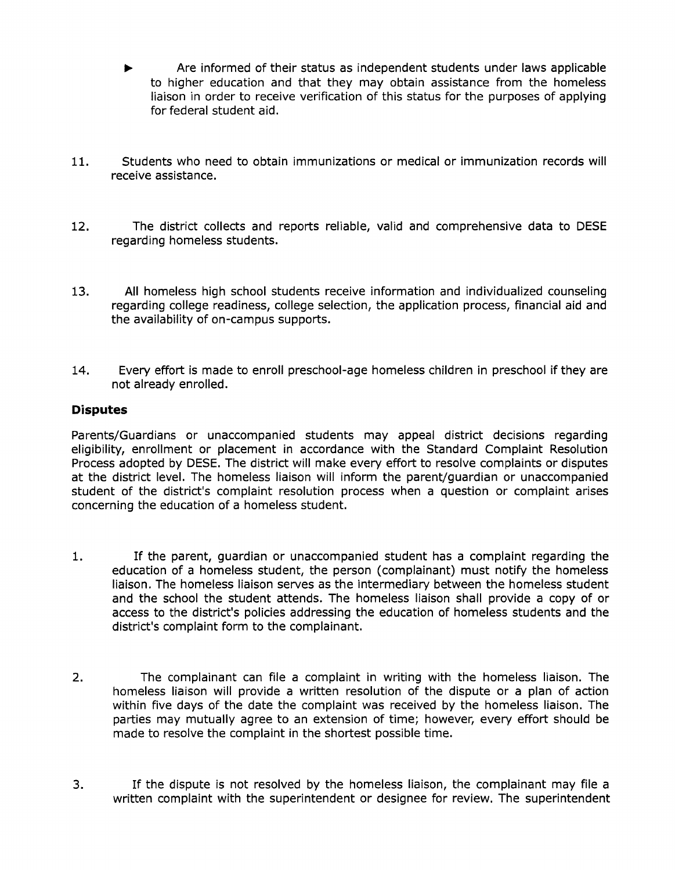- Are informed of their status as independent students under laws applicable to higher education and that they may obtain assistance from the homeless liaison in order to receive verification of this status for the purposes of applying for federal student aid.
- 11. Students who need to obtain immunizations or medical or immunization records will receive assistance.
- 12. The district collects and reports reliable, valid and comprehensive data to DESE regarding homeless students.
- 13. All homeless high school students receive information and individualized counseling regarding college readiness, college selection, the application process, financial aid and the availability of on-campus supports.
- 14. Every effort is made to enroll preschool-age homeless children in preschool if they are not already enrolled.

# **Disputes**

Parents/Guardians or unaccompanied students may appeal district decisions regarding eligibility, enrollment or placement in accordance with the Standard Complaint Resolution Process adopted by DESE. The district will make every effort to resolve complaints or disputes at the district level. The homeless liaison will inform the parent/guardian or unaccompanied student of the district's complaint resolution process when a question or complaint arises concerning the education of a homeless student.

- 1. If the parent, guardian or unaccompanied student has a complaint regarding the education of a homeless student, the person (complainant) must notify the homeless liaison. The homeless liaison serves as the intermediary between the homeless student and the school the student attends. The homeless liaison shall provide a copy of or access to the district's policies addressing the education of homeless students and the district's complaint form to the complainant.
- 2. The complainant can file a complaint in writing with the homeless liaison. The homeless liaison will provide a written resolution of the dispute or a plan of action within five days of the date the complaint was received by the homeless liaison. The parties may mutually agree to an extension of time; however, every effort should be made to resolve the complaint in the shortest possible time.
- 3. If the dispute is not resolved by the homeless liaison, the complainant may file a written complaint with the superintendent or designee for review. The superintendent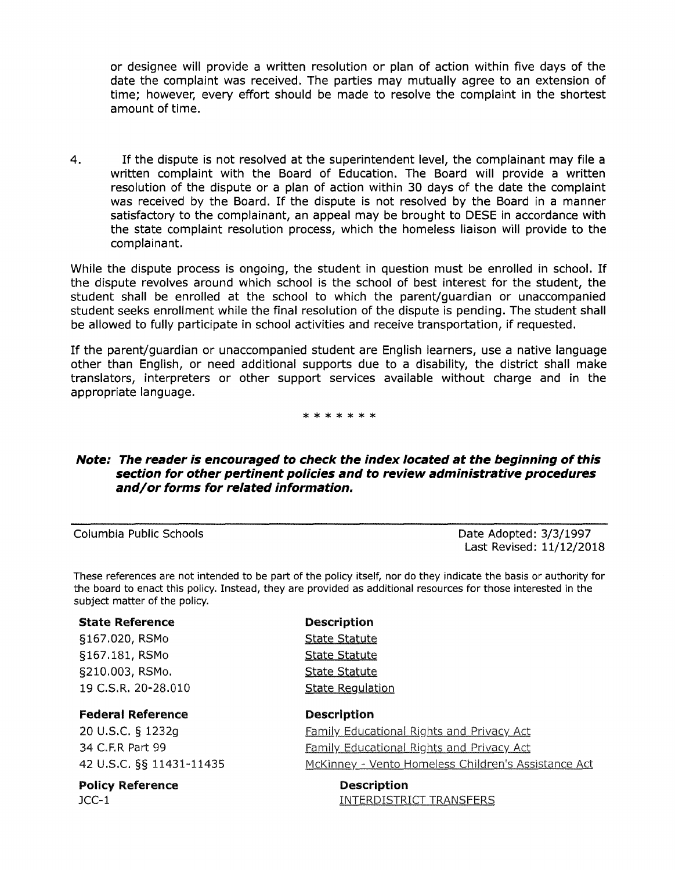or designee will provide a written resolution or plan of action within five days of the date the complaint was received. The parties may mutually agree to an extension of time; however, every effort should be made to resolve the complaint in the shortest amount of time.

4. If the dispute is not resolved at the superintendent level, the complainant may file a written complaint with the Board of Education. The Board will provide a written resolution of the dispute or a plan of action within 30 days of the date the complaint was received by the Board. If the dispute is not resolved by the Board in a manner satisfactory to the complainant, an appeal may be brought to DESE in accordance with the state complaint resolution process, which the homeless liaison will provide to the complainant.

While the dispute process is ongoing, the student in question must be enrolled in school. If the dispute revolves around which school is the school of best interest for the student, the student shall be enrolled at the school to which the parent/guardian or unaccompanied student seeks enrollment while the final resolution of the dispute is pending. The student shall be allowed to fully participate in school activities and receive transportation, if requested.

If the parent/guardian or unaccompanied student are English learners, use a native language other than English, or need additional supports due to a disability, the district shall make translators, interpreters or other support services available without charge and in the appropriate language.

\*\*\*\*\*\*\*

### **Note: The reader is encouraged to check the index located at the beginning of this section for other pertinent policies and to review administrative procedures and/or forms for related information.**

Columbia Public Schools Date Adopted: 3/3/1997 Last Revised: 11/12/2018

These references are not intended to be part of the policy itself, nor do they indicate the basis or authority for the board to enact this policy. Instead, they are provided as additional resources for those interested in the subject matter of the policy.

#### State Reference

§167.020, RSMo §167.181, RSMo §210.003, RSMo. 19 C.S.R. 20-28.010

#### Federal Reference

20 u.s.c. § 1232g 34 C.F.R Part 99 42 u.s.c. §§ 11431-11435

## Policy Reference

JCC-1

# Description

**State Statute** State Statute State Statute State Regulation

# Description

Family Educational Rights and Privacy Act Family Educational Rights and Privacy Act McKinney - Vento Homeless Children's Assistance Act

> Description **INTERDISTRICT TRANSFERS**